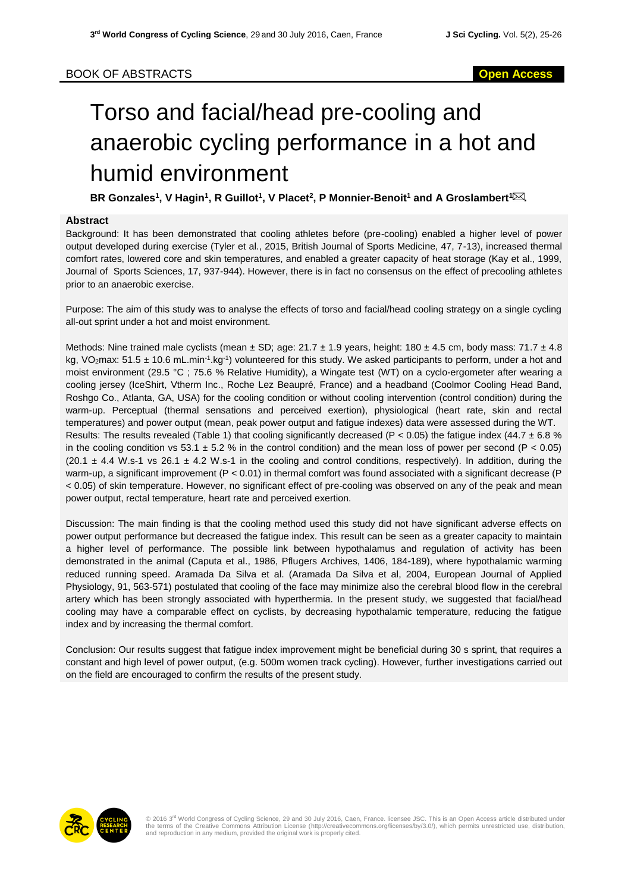# Torso and facial/head pre-cooling and anaerobic cycling performance in a hot and humid environment

 $\textsf{BR}$  Gonzales $^1$ , V Hagin $^1$ , R Guillot $^1$ , V Placet $^2$ , P Monnier-Benoit $^1$  and A Groslambert $^1$   $\boxtimes$ 

### **Abstract**

Background: It has been demonstrated that cooling athletes before (pre-cooling) enabled a higher level of power output developed during exercise (Tyler et al., 2015, British Journal of Sports Medicine, 47, 7-13), increased thermal comfort rates, lowered core and skin temperatures, and enabled a greater capacity of heat storage (Kay et al., 1999, Journal of Sports Sciences, 17, 937-944). However, there is in fact no consensus on the effect of precooling athletes prior to an anaerobic exercise.

Purpose: The aim of this study was to analyse the effects of torso and facial/head cooling strategy on a single cycling all-out sprint under a hot and moist environment.

Methods: Nine trained male cyclists (mean  $\pm$  SD; age: 21.7  $\pm$  1.9 years, height: 180  $\pm$  4.5 cm, body mass: 71.7  $\pm$  4.8 kg, VO<sub>2</sub>max: 51.5  $\pm$  10.6 mL.min<sup>-1</sup>.kg<sup>-1</sup>) volunteered for this study. We asked participants to perform, under a hot and moist environment (29.5 °C ; 75.6 % Relative Humidity), a Wingate test (WT) on a cyclo-ergometer after wearing a cooling jersey (IceShirt, Vtherm Inc., Roche Lez Beaupré, France) and a headband (Coolmor Cooling Head Band, Roshgo Co., Atlanta, GA, USA) for the cooling condition or without cooling intervention (control condition) during the warm-up. Perceptual (thermal sensations and perceived exertion), physiological (heart rate, skin and rectal temperatures) and power output (mean, peak power output and fatigue indexes) data were assessed during the WT. Results: The results revealed (Table 1) that cooling significantly decreased (P < 0.05) the fatigue index (44.7  $\pm$  6.8 % in the cooling condition vs 53.1  $\pm$  5.2 % in the control condition) and the mean loss of power per second (P < 0.05)  $(20.1 \pm 4.4 \text{ W} \cdot \text{s}^{-1} \text{ vs } 26.1 \pm 4.2 \text{ W} \cdot \text{s}^{-1} \text{ in the cooling and control conditions, respectively). In addition, during the$ warm-up, a significant improvement (P < 0.01) in thermal comfort was found associated with a significant decrease (P < 0.05) of skin temperature. However, no significant effect of pre-cooling was observed on any of the peak and mean power output, rectal temperature, heart rate and perceived exertion.

Discussion: The main finding is that the cooling method used this study did not have significant adverse effects on power output performance but decreased the fatigue index. This result can be seen as a greater capacity to maintain a higher level of performance. The possible link between hypothalamus and regulation of activity has been demonstrated in the animal (Caputa et al., 1986, Pflugers Archives, 1406, 184-189), where hypothalamic warming reduced running speed. Aramada Da Silva et al. (Aramada Da Silva et al, 2004, European Journal of Applied Physiology, 91, 563-571) postulated that cooling of the face may minimize also the cerebral blood flow in the cerebral artery which has been strongly associated with hyperthermia. In the present study, we suggested that facial/head cooling may have a comparable effect on cyclists, by decreasing hypothalamic temperature, reducing the fatigue index and by increasing the thermal comfort.

Conclusion: Our results suggest that fatigue index improvement might be beneficial during 30 s sprint, that requires a constant and high level of power output, (e.g. 500m women track cycling). However, further investigations carried out on the field are encouraged to confirm the results of the present study.